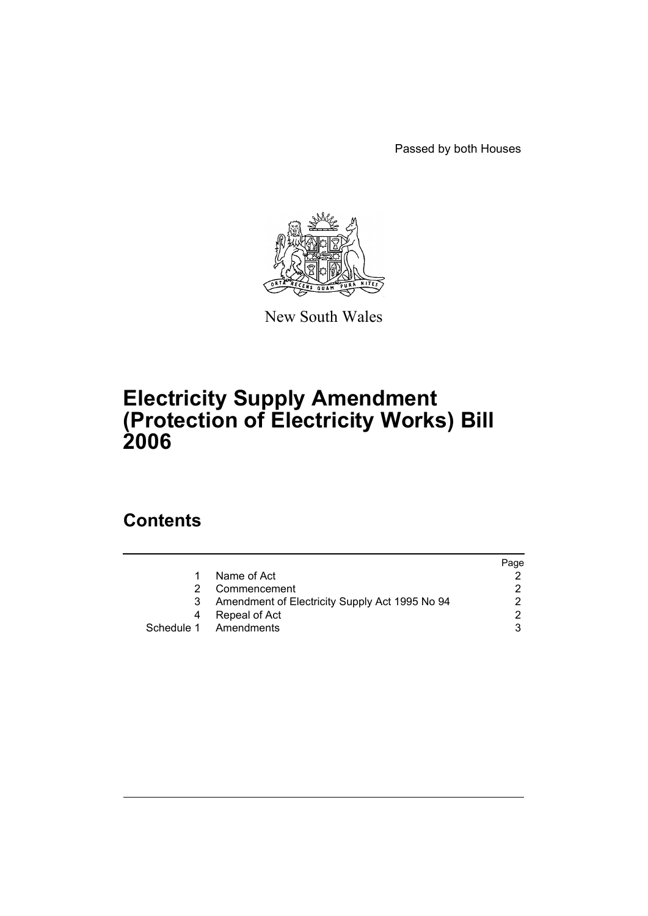Passed by both Houses



New South Wales

# **Electricity Supply Amendment (Protection of Electricity Works) Bill 2006**

## **Contents**

|    |                                                | Page |
|----|------------------------------------------------|------|
|    | Name of Act                                    |      |
|    | Commencement                                   |      |
| 3. | Amendment of Electricity Supply Act 1995 No 94 |      |
|    | Repeal of Act                                  |      |
|    | Schedule 1 Amendments                          |      |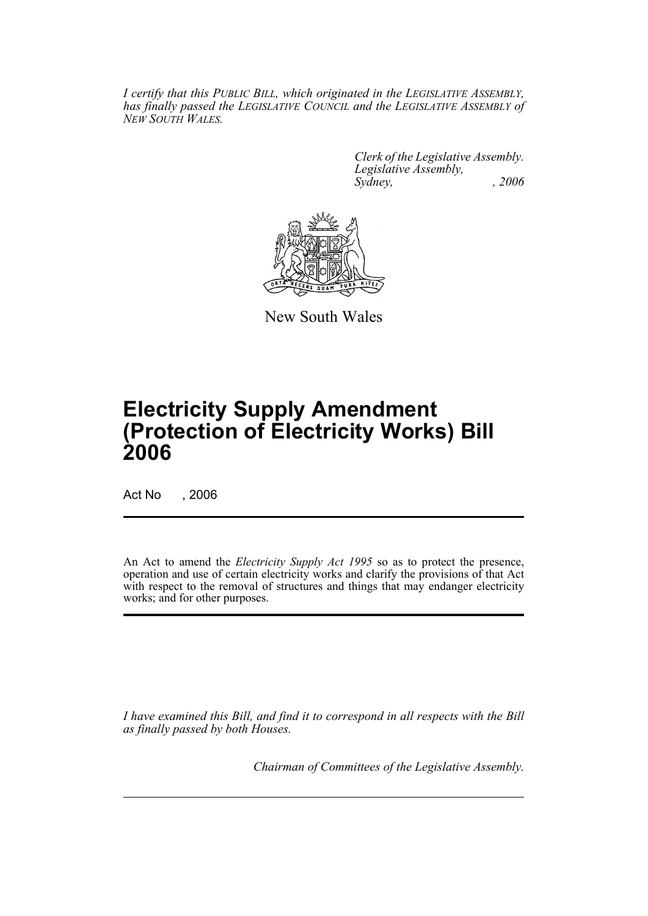*I certify that this PUBLIC BILL, which originated in the LEGISLATIVE ASSEMBLY, has finally passed the LEGISLATIVE COUNCIL and the LEGISLATIVE ASSEMBLY of NEW SOUTH WALES.*

> *Clerk of the Legislative Assembly. Legislative Assembly, Sydney, , 2006*



New South Wales

# **Electricity Supply Amendment (Protection of Electricity Works) Bill 2006**

Act No , 2006

An Act to amend the *Electricity Supply Act 1995* so as to protect the presence, operation and use of certain electricity works and clarify the provisions of that Act with respect to the removal of structures and things that may endanger electricity works; and for other purposes.

*I have examined this Bill, and find it to correspond in all respects with the Bill as finally passed by both Houses.*

*Chairman of Committees of the Legislative Assembly.*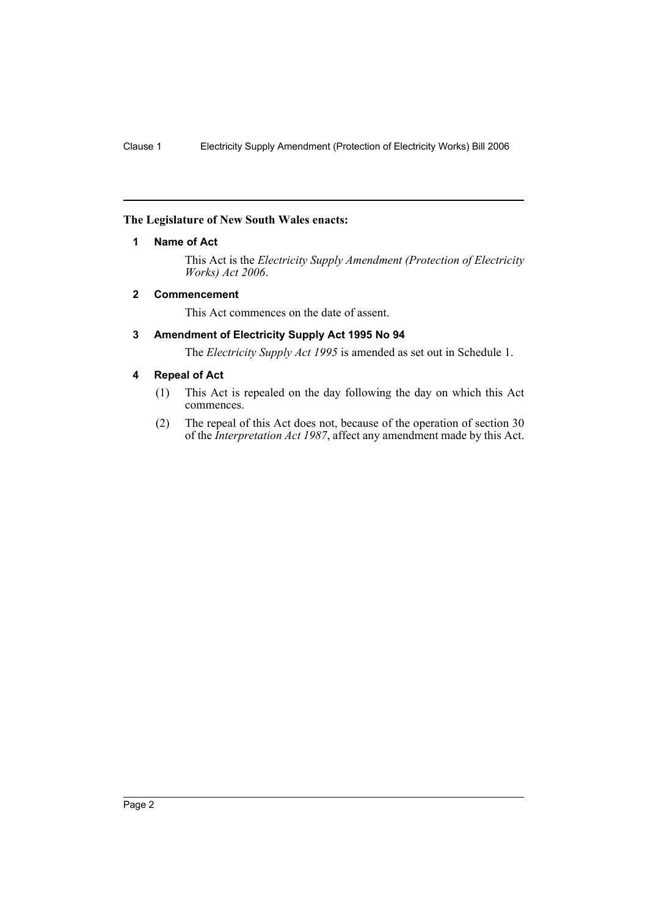#### **The Legislature of New South Wales enacts:**

#### **1 Name of Act**

This Act is the *Electricity Supply Amendment (Protection of Electricity Works) Act 2006*.

#### **2 Commencement**

This Act commences on the date of assent.

#### **3 Amendment of Electricity Supply Act 1995 No 94**

The *Electricity Supply Act 1995* is amended as set out in Schedule 1.

#### **4 Repeal of Act**

- (1) This Act is repealed on the day following the day on which this Act commences.
- (2) The repeal of this Act does not, because of the operation of section 30 of the *Interpretation Act 1987*, affect any amendment made by this Act.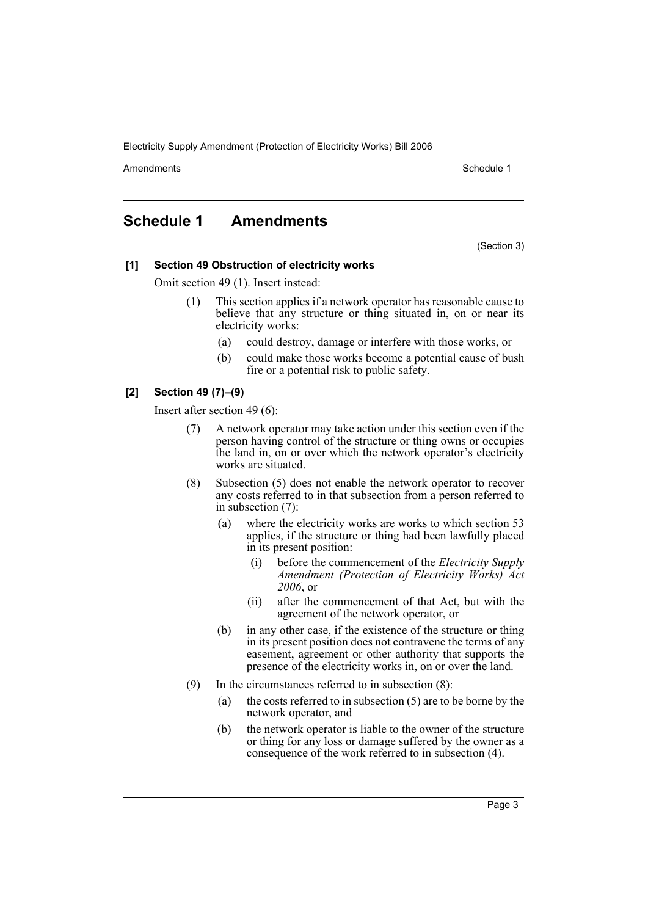Electricity Supply Amendment (Protection of Electricity Works) Bill 2006

Amendments **Amendments** Schedule 1

### **Schedule 1 Amendments**

(Section 3)

#### **[1] Section 49 Obstruction of electricity works**

Omit section 49 (1). Insert instead:

- This section applies if a network operator has reasonable cause to believe that any structure or thing situated in, on or near its electricity works:
	- (a) could destroy, damage or interfere with those works, or
	- (b) could make those works become a potential cause of bush fire or a potential risk to public safety.

#### **[2] Section 49 (7)–(9)**

Insert after section 49 (6):

- (7) A network operator may take action under this section even if the person having control of the structure or thing owns or occupies the land in, on or over which the network operator's electricity works are situated.
- (8) Subsection (5) does not enable the network operator to recover any costs referred to in that subsection from a person referred to in subsection (7):
	- (a) where the electricity works are works to which section 53 applies, if the structure or thing had been lawfully placed in its present position:
		- (i) before the commencement of the *Electricity Supply Amendment (Protection of Electricity Works) Act 2006*, or
		- (ii) after the commencement of that Act, but with the agreement of the network operator, or
	- (b) in any other case, if the existence of the structure or thing in its present position does not contravene the terms of any easement, agreement or other authority that supports the presence of the electricity works in, on or over the land.
- (9) In the circumstances referred to in subsection (8):
	- (a) the costs referred to in subsection (5) are to be borne by the network operator, and
	- (b) the network operator is liable to the owner of the structure or thing for any loss or damage suffered by the owner as a consequence of the work referred to in subsection (4).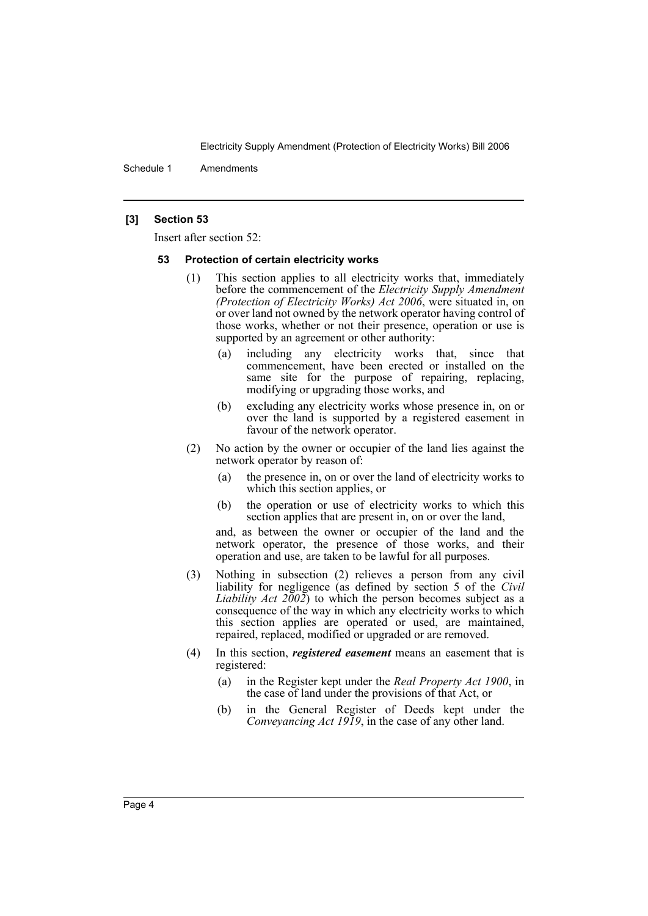Electricity Supply Amendment (Protection of Electricity Works) Bill 2006

Schedule 1 Amendments

#### **[3] Section 53**

Insert after section 52:

#### **53 Protection of certain electricity works**

- (1) This section applies to all electricity works that, immediately before the commencement of the *Electricity Supply Amendment (Protection of Electricity Works) Act 2006*, were situated in, on or over land not owned by the network operator having control of those works, whether or not their presence, operation or use is supported by an agreement or other authority:
	- (a) including any electricity works that, since that commencement, have been erected or installed on the same site for the purpose of repairing, replacing, modifying or upgrading those works, and
	- (b) excluding any electricity works whose presence in, on or over the land is supported by a registered easement in favour of the network operator.
- (2) No action by the owner or occupier of the land lies against the network operator by reason of:
	- (a) the presence in, on or over the land of electricity works to which this section applies, or
	- (b) the operation or use of electricity works to which this section applies that are present in, on or over the land,

and, as between the owner or occupier of the land and the network operator, the presence of those works, and their operation and use, are taken to be lawful for all purposes.

- (3) Nothing in subsection (2) relieves a person from any civil liability for negligence (as defined by section 5 of the *Civil Liability Act 2002*) to which the person becomes subject as a consequence of the way in which any electricity works to which this section applies are operated or used, are maintained, repaired, replaced, modified or upgraded or are removed.
- (4) In this section, *registered easement* means an easement that is registered:
	- (a) in the Register kept under the *Real Property Act 1900*, in the case of land under the provisions of that Act, or
	- (b) in the General Register of Deeds kept under the *Conveyancing Act 1919*, in the case of any other land.